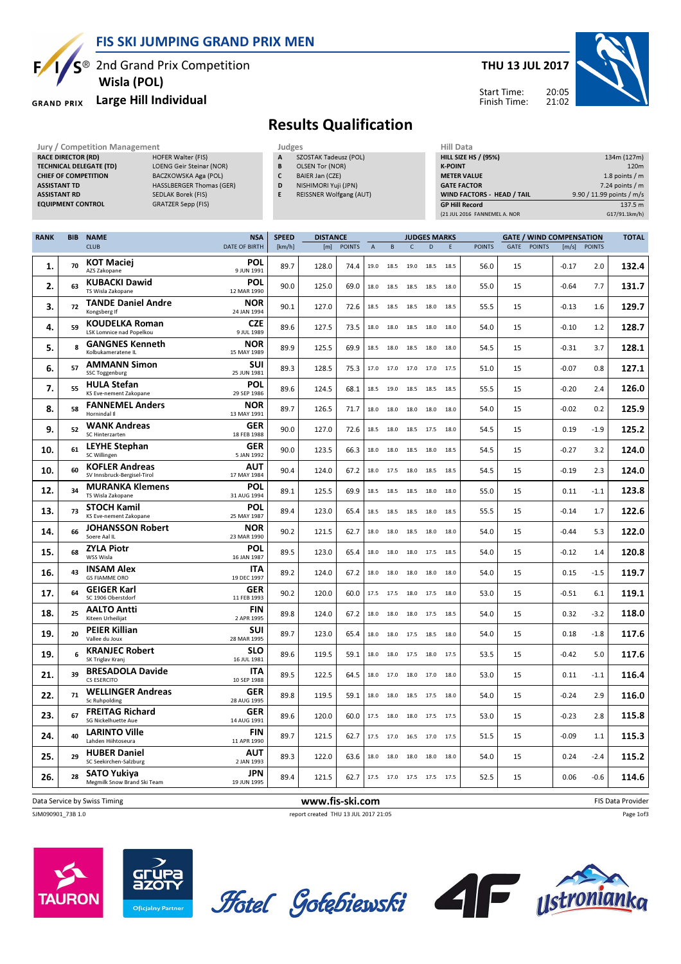FIS SKI JUMPING GRAND PRIX MEN

<sup>2</sup> 2nd Grand Prix Competition Wisla (POL)

#### Large Hill Individual **GRAND PRIX**

F

#### THU 13 JUL 2017

Start Time:



Finish Time:

# Results Qualification

- SZOSTAK Tadeusz (POL) B OLSEN Tor (NOR)
- C BAIER Jan (CZE)
- D NISHIMORI Yuji (JPN)
- E REISSNER Wolfgang (AUT)

| Jury / Competition Management  |                                 |   | Judges                         | Hill Data                    |                           |  |  |  |
|--------------------------------|---------------------------------|---|--------------------------------|------------------------------|---------------------------|--|--|--|
| <b>RACE DIRECTOR (RD)</b>      | <b>HOFER Walter (FIS)</b>       | A | SZOSTAK Tadeusz (POL)          | <b>HILL SIZE HS / (95%)</b>  | 134m (127m)               |  |  |  |
| <b>TECHNICAL DELEGATE (TD)</b> | LOENG Geir Steinar (NOR)        | B | OLSEN Tor (NOR)                | <b>K-POINT</b>               | 120 <sub>m</sub>          |  |  |  |
| <b>CHIEF OF COMPETITION</b>    | BACZKOWSKA Aga (POL)            |   | BAIER Jan (CZE)                | <b>METER VALUE</b>           | 1.8 points $/m$           |  |  |  |
| <b>ASSISTANT TD</b>            | <b>HASSLBERGER Thomas (GER)</b> | D | NISHIMORI Yuji (JPN)           | <b>GATE FACTOR</b>           | $7.24$ points / m         |  |  |  |
| <b>ASSISTANT RD</b>            | SEDLAK Borek (FIS)              |   | <b>REISSNER Wolfgang (AUT)</b> | WIND FACTORS - HEAD / TAIL   | 9.90 / 11.99 points / m/s |  |  |  |
| <b>EQUIPMENT CONTROL</b>       | GRATZER Sepp (FIS)              |   |                                | <b>GP Hill Record</b>        | 137.5 m                   |  |  |  |
|                                |                                 |   |                                | (21 JUL 2016 FANNEMEL A. NOR | G17/91.1km/h)             |  |  |  |

| <b>RANK</b> | <b>BIB</b> | <b>NAME</b>                                              | <b>NSA</b>                | <b>SPEED</b> | <b>DISTANCE</b> |               |                |        |           | <b>JUDGES MARKS</b> |      |               |      |               | <b>GATE / WIND COMPENSATION</b> |               | <b>TOTAL</b>      |
|-------------|------------|----------------------------------------------------------|---------------------------|--------------|-----------------|---------------|----------------|--------|-----------|---------------------|------|---------------|------|---------------|---------------------------------|---------------|-------------------|
|             |            | <b>CLUB</b>                                              | <b>DATE OF BIRTH</b>      | [km/h]       | [m]             | <b>POINTS</b> | $\overline{A}$ | $\,$ B | C         | D                   | E    | <b>POINTS</b> | GATE | <b>POINTS</b> | [m/s]                           | <b>POINTS</b> |                   |
| 1.          | 70         | <b>KOT Maciej</b><br>AZS Zakopane                        | <b>POL</b><br>9 JUN 1991  | 89.7         | 128.0           | 74.4          | 19.0           | 18.5   | 19.0      | 18.5                | 18.5 | 56.0          | 15   |               | $-0.17$                         | 2.0           | 132.4             |
| 2.          | 63         | <b>KUBACKI Dawid</b><br>TS Wisla Zakopane                | <b>POL</b><br>12 MAR 1990 | 90.0         | 125.0           | 69.0          | 18.0           | 18.5   | 18.5      | 18.5                | 18.0 | 55.0          | 15   |               | $-0.64$                         | 7.7           | 131.7             |
| 3.          | 72         | <b>TANDE Daniel Andre</b><br>Kongsberg If                | <b>NOR</b><br>24 JAN 1994 | 90.1         | 127.0           | 72.6          | 18.5           | 18.5   | 18.5      | 18.0                | 18.5 | 55.5          | 15   |               | $-0.13$                         | 1.6           | 129.7             |
| 4.          | 59         | <b>KOUDELKA Roman</b><br><b>LSK Lomnice nad Popelkou</b> | <b>CZE</b><br>9 JUL 1989  | 89.6         | 127.5           | 73.5          | 18.0           | 18.0   | 18.5      | 18.0                | 18.0 | 54.0          | 15   |               | $-0.10$                         | 1.2           | 128.7             |
| 5.          | 8          | <b>GANGNES Kenneth</b><br>Kolbukameratene IL             | <b>NOR</b><br>15 MAY 1989 | 89.9         | 125.5           | 69.9          | 18.5           | 18.0   | 18.5      | 18.0                | 18.0 | 54.5          | 15   |               | $-0.31$                         | 3.7           | 128.1             |
| 6.          | 57         | <b>AMMANN Simon</b><br>SSC Toggenburg                    | <b>SUI</b><br>25 JUN 1981 | 89.3         | 128.5           | 75.3          | 17.0           | 17.0   | 17.0      | 17.0                | 17.5 | 51.0          | 15   |               | $-0.07$                         | 0.8           | 127.1             |
| 7.          | 55         | <b>HULA Stefan</b><br><b>KS Eve-nement Zakopane</b>      | <b>POL</b><br>29 SEP 1986 | 89.6         | 124.5           | 68.1          | 18.5           | 19.0   | 18.5      | 18.5                | 18.5 | 55.5          | 15   |               | $-0.20$                         | 2.4           | 126.0             |
| 8.          | 58         | <b>FANNEMEL Anders</b><br>Hornindal II                   | <b>NOR</b><br>13 MAY 1991 | 89.7         | 126.5           | 71.7          | 18.0           | 18.0   | 18.0 18.0 |                     | 18.0 | 54.0          | 15   |               | $-0.02$                         | 0.2           | 125.9             |
| 9.          | 52         | <b>WANK Andreas</b><br>SC Hinterzarten                   | GER<br>18 FEB 1988        | 90.0         | 127.0           | 72.6          | 18.5           | 18.0   | 18.5      | 17.5                | 18.0 | 54.5          | 15   |               | 0.19                            | $-1.9$        | 125.2             |
| 10.         | 61         | <b>LEYHE Stephan</b><br>SC Willingen                     | GER<br>5 JAN 1992         | 90.0         | 123.5           | 66.3          | 18.0           | 18.0   | 18.5      | 18.0                | 18.5 | 54.5          | 15   |               | $-0.27$                         | 3.2           | 124.0             |
| 10.         | 60         | <b>KOFLER Andreas</b><br>SV Innsbruck-Bergisel-Tirol     | AUT<br>17 MAY 1984        | 90.4         | 124.0           | 67.2          | 18.0           | 17.5   | 18.0      | 18.5                | 18.5 | 54.5          | 15   |               | $-0.19$                         | 2.3           | 124.0             |
| 12.         | 34         | <b>MURANKA Klemens</b><br>TS Wisla Zakopane              | <b>POL</b><br>31 AUG 1994 | 89.1         | 125.5           | 69.9          | 18.5           | 18.5   | 18.5      | 18.0                | 18.0 | 55.0          | 15   |               | 0.11                            | $-1.1$        | 123.8             |
| 13.         | 73         | <b>STOCH Kamil</b><br><b>KS Eve-nement Zakopane</b>      | <b>POL</b><br>25 MAY 1987 | 89.4         | 123.0           | 65.4          | 18.5           | 18.5   | 18.5      | 18.0                | 18.5 | 55.5          | 15   |               | $-0.14$                         | 1.7           | 122.6             |
| 14.         | 66         | <b>JOHANSSON Robert</b><br>Soere Aal IL                  | <b>NOR</b><br>23 MAR 1990 | 90.2         | 121.5           | 62.7          | 18.0           | 18.0   | 18.5      | 18.0                | 18.0 | 54.0          | 15   |               | $-0.44$                         | 5.3           | 122.0             |
| 15.         | 68         | <b>ZYLA Piotr</b><br>WSS Wisla                           | <b>POL</b><br>16 JAN 1987 | 89.5         | 123.0           | 65.4          | 18.0           | 18.0   | 18.0      | 17.5                | 18.5 | 54.0          | 15   |               | $-0.12$                         | 1.4           | 120.8             |
| 16.         | 43         | <b>INSAM Alex</b><br><b>GS FIAMME ORO</b>                | <b>ITA</b><br>19 DEC 1997 | 89.2         | 124.0           | 67.2          | 18.0           | 18.0   | 18.0      | 18.0                | 18.0 | 54.0          | 15   |               | 0.15                            | $-1.5$        | 119.7             |
| 17.         | 64         | <b>GEIGER Karl</b><br>SC 1906 Oberstdorf                 | GER<br>11 FEB 1993        | 90.2         | 120.0           | 60.0          | 17.5           | 17.5   | 18.0      | 17.5                | 18.0 | 53.0          | 15   |               | $-0.51$                         | 6.1           | 119.1             |
| 18.         | 25         | <b>AALTO Antti</b><br>Kiteen Urheilijat                  | <b>FIN</b><br>2 APR 1995  | 89.8         | 124.0           | 67.2          | 18.0           | 18.0   | 18.0      | 17.5                | 18.5 | 54.0          | 15   |               | 0.32                            | $-3.2$        | 118.0             |
| 19.         | 20         | <b>PEIER Killian</b><br>Vallee du Joux                   | <b>SUI</b><br>28 MAR 1995 | 89.7         | 123.0           | 65.4          | 18.0           | 18.0   | 17.5 18.5 |                     | 18.0 | 54.0          | 15   |               | 0.18                            | $-1.8$        | 117.6             |
| 19.         | 6          | <b>KRANJEC Robert</b><br>SK Triglav Kranj                | <b>SLO</b><br>16 JUL 1981 | 89.6         | 119.5           | 59.1          | 18.0           | 18.0   | 17.5      | 18.0                | 17.5 | 53.5          | 15   |               | $-0.42$                         | 5.0           | 117.6             |
| 21.         | 39         | <b>BRESADOLA Davide</b><br><b>CS ESERCITO</b>            | <b>ITA</b><br>10 SEP 1988 | 89.5         | 122.5           | 64.5          | 18.0           | 17.0   | 18.0      | 17.0                | 18.0 | 53.0          | 15   |               | 0.11                            | $-1.1$        | 116.4             |
| 22.         | 71         | <b>WELLINGER Andreas</b><br>Sc Ruhpolding                | <b>GER</b><br>28 AUG 1995 | 89.8         | 119.5           | 59.1          | 18.0           | 18.0   |           | 18.5 17.5           | 18.0 | 54.0          | 15   |               | $-0.24$                         | 2.9           | 116.0             |
| 23.         | 67         | <b>FREITAG Richard</b><br>SG Nickelhuette Aue            | <b>GER</b><br>14 AUG 1991 | 89.6         | 120.0           | 60.0          | 17.5           | 18.0   | 18.0      | 17.5                | 17.5 | 53.0          | 15   |               | $-0.23$                         | 2.8           | 115.8             |
| 24.         | 40         | <b>LARINTO Ville</b><br>Lahden Hiihtoseura               | <b>FIN</b><br>11 APR 1990 | 89.7         | 121.5           | 62.7          | 17.5           | 17.0   | 16.5      | 17.0                | 17.5 | 51.5          | 15   |               | $-0.09$                         | $1.1\,$       | 115.3             |
| 25.         | 29         | <b>HUBER Daniel</b><br>SC Seekirchen-Salzburg            | <b>AUT</b><br>2 JAN 1993  | 89.3         | 122.0           | 63.6          | 18.0           | 18.0   | 18.0      | 18.0                | 18.0 | 54.0          | 15   |               | 0.24                            | $-2.4$        | 115.2             |
| 26.         | 28         | <b>SATO Yukiya</b><br>Megmilk Snow Brand Ski Team        | <b>JPN</b><br>19 JUN 1995 | 89.4         | 121.5           | 62.7          |                |        |           | 17.5 17.0 17.5 17.5 | 17.5 | 52.5          | 15   |               | 0.06                            | $-0.6$        | 114.6             |
|             |            | Data Service by Swiss Timing                             |                           |              | www.fis-ski.com |               |                |        |           |                     |      |               |      |               |                                 |               | FIS Data Provider |

SJM090901\_73B 1.0 report created THU 13 JUL 2017 21:05









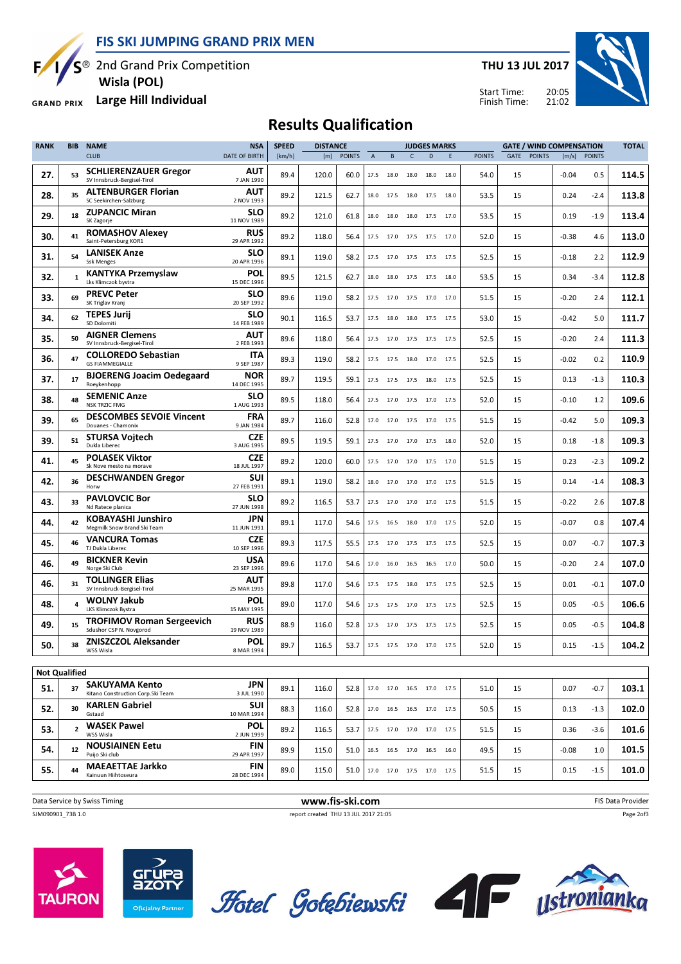FIS SKI JUMPING GRAND PRIX MEN



Wisla (POL)

GRAND PRIX Large Hill Individual

THU 13 JUL 2017



20:05 Start Time: Finish Time:

## Results Qualification

| <b>RANK</b>          | BIB<br><b>NAME</b> |                                                             | <b>NSA</b>                | <b>SPEED</b> | <b>DISTANCE</b> |               |                | <b>JUDGES MARKS</b> |           |                                  |      | <b>GATE / WIND COMPENSATION</b> |      |               |         | <b>TOTAL</b>  |       |
|----------------------|--------------------|-------------------------------------------------------------|---------------------------|--------------|-----------------|---------------|----------------|---------------------|-----------|----------------------------------|------|---------------------------------|------|---------------|---------|---------------|-------|
|                      |                    | <b>CLUB</b>                                                 | <b>DATE OF BIRTH</b>      | [km/h]       | [m]             | <b>POINTS</b> | $\overline{A}$ | B                   | Ċ         | D                                | E    | <b>POINTS</b>                   | GATE | <b>POINTS</b> | [m/s]   | <b>POINTS</b> |       |
| 27.                  | 53                 | <b>SCHLIERENZAUER Gregor</b><br>SV Innsbruck-Bergisel-Tirol | AUT<br>7 JAN 1990         | 89.4         | 120.0           | 60.0          | 17.5           | 18.0                | 18.0      | 18.0                             | 18.0 | 54.0                            | 15   |               | $-0.04$ | 0.5           | 114.5 |
| 28.                  | 35                 | <b>ALTENBURGER Florian</b><br>SC Seekirchen-Salzburg        | AUT<br>2 NOV 1993         | 89.2         | 121.5           | 62.7          | 18.0           | 17.5                | 18.0      | 17.5                             | 18.0 | 53.5                            | 15   |               | 0.24    | -2.4          | 113.8 |
| 29.                  | 18                 | <b>ZUPANCIC Miran</b><br>SK Zagorje                         | <b>SLO</b><br>11 NOV 1989 | 89.2         | 121.0           | 61.8          | 18.0           | 18.0                | 18.0      | 17.5                             | 17.0 | 53.5                            | 15   |               | 0.19    | $-1.9$        | 113.4 |
| 30.                  | 41                 | <b>ROMASHOV Alexey</b><br>Saint-Petersburg KOR1             | RUS<br>29 APR 1992        | 89.2         | 118.0           | 56.4          | 17.5           | 17.0                | 17.5      | 17.5 17.0                        |      | 52.0                            | 15   |               | $-0.38$ | 4.6           | 113.0 |
| 31.                  | 54                 | <b>LANISEK Anze</b><br><b>Ssk Menges</b>                    | <b>SLO</b><br>20 APR 1996 | 89.1         | 119.0           | 58.2          | 17.5           | 17.0                | 17.5      | 17.5 17.5                        |      | 52.5                            | 15   |               | $-0.18$ | 2.2           | 112.9 |
| 32.                  | $\mathbf{1}$       | <b>KANTYKA Przemyslaw</b><br>Lks Klimczok bystra            | POL<br>15 DEC 1996        | 89.5         | 121.5           | 62.7          | 18.0           | 18.0                | 17.5 17.5 |                                  | 18.0 | 53.5                            | 15   |               | 0.34    | -3.4          | 112.8 |
| 33.                  | 69                 | <b>PREVC Peter</b><br>SK Triglav Kranj                      | <b>SLO</b><br>20 SEP 1992 | 89.6         | 119.0           | 58.2          | 17.5           |                     |           | 17.0 17.5 17.0 17.0              |      | 51.5                            | 15   |               | -0.20   | 2.4           | 112.1 |
| 34.                  | 62                 | <b>TEPES Jurij</b><br>SD Dolomiti                           | <b>SLO</b><br>14 FEB 1989 | 90.1         | 116.5           | 53.7          | 17.5           | 18.0                | 18.0      | 17.5                             | 17.5 | 53.0                            | 15   |               | $-0.42$ | 5.0           | 111.7 |
| 35.                  | 50                 | <b>AIGNER Clemens</b><br>SV Innsbruck-Bergisel-Tirol        | AUT<br>2 FEB 1993         | 89.6         | 118.0           | 56.4          | 17.5           | 17.0                |           | 17.5 17.5                        | 17.5 | 52.5                            | 15   |               | $-0.20$ | 2.4           | 111.3 |
| 36.                  | 47                 | <b>COLLOREDO Sebastian</b><br><b>GS FIAMMEGIALLE</b>        | ITA<br>9 SEP 1987         | 89.3         | 119.0           | 58.2          | 17.5           | 17.5                | 18.0      | 17.0                             | 17.5 | 52.5                            | 15   |               | $-0.02$ | 0.2           | 110.9 |
| 37.                  | 17                 | <b>BJOERENG Joacim Oedegaard</b><br>Roeykenhopp             | NOR<br>14 DEC 1995        | 89.7         | 119.5           | 59.1          | 17.5           | 17.5                | 17.5      | 18.0                             | 17.5 | 52.5                            | 15   |               | 0.13    | $-1.3$        | 110.3 |
| 38.                  | 48                 | <b>SEMENIC Anze</b><br><b>NSK TRZIC FMG</b>                 | <b>SLO</b><br>1 AUG 1993  | 89.5         | 118.0           | 56.4          | 17.5           | 17.0                | 17.5      | 17.0                             | 17.5 | 52.0                            | 15   |               | $-0.10$ | 1.2           | 109.6 |
| 39.                  | 65                 | <b>DESCOMBES SEVOIE Vincent</b><br>Douanes - Chamonix       | <b>FRA</b><br>9 JAN 1984  | 89.7         | 116.0           | 52.8          | 17.0           | 17.0                | 17.5      | 17.0                             | 17.5 | 51.5                            | 15   |               | $-0.42$ | 5.0           | 109.3 |
| 39.                  | 51                 | <b>STURSA Vojtech</b><br>Dukla Liberec                      | CZE<br>3 AUG 1995         | 89.5         | 119.5           | 59.1          | 17.5           | 17.0                | 17.0      | 17.5                             | 18.0 | 52.0                            | 15   |               | 0.18    | $-1.8$        | 109.3 |
| 41.                  | 45                 | <b>POLASEK Viktor</b><br>Sk Nove mesto na morave            | <b>CZE</b><br>18 JUL 1997 | 89.2         | 120.0           | 60.0          | 17.5           | 17.0                | 17.0      | 17.5                             | 17.0 | 51.5                            | 15   |               | 0.23    | $-2.3$        | 109.2 |
| 42.                  | 36                 | <b>DESCHWANDEN Gregor</b><br>Horw                           | SUI<br>27 FEB 1991        | 89.1         | 119.0           | 58.2          | 18.0           | 17.0                | 17.0      | 17.0                             | 17.5 | 51.5                            | 15   |               | 0.14    | $-1.4$        | 108.3 |
| 43.                  | 33                 | <b>PAVLOVCIC Bor</b><br>Nd Ratece planica                   | <b>SLO</b><br>27 JUN 1998 | 89.2         | 116.5           | 53.7          | 17.5           | 17.0                | 17.0      | 17.0                             | 17.5 | 51.5                            | 15   |               | -0.22   | 2.6           | 107.8 |
| 44.                  | 42                 | KOBAYASHI Junshiro<br>Megmilk Snow Brand Ski Team           | JPN<br>11 JUN 1991        | 89.1         | 117.0           | 54.6          | 17.5           | 16.5                | 18.0      | 17.0                             | 17.5 | 52.0                            | 15   |               | -0.07   | 0.8           | 107.4 |
| 45.                  | 46                 | <b>VANCURA Tomas</b><br>TJ Dukla Liberec                    | <b>CZE</b><br>10 SEP 1996 | 89.3         | 117.5           | 55.5          | 17.5           | 17.0                | 17.5      | 17.5                             | 17.5 | 52.5                            | 15   |               | 0.07    | $-0.7$        | 107.3 |
| 46.                  | 49                 | <b>BICKNER Kevin</b><br>Norge Ski Club                      | <b>USA</b><br>23 SEP 1996 | 89.6         | 117.0           | 54.6          | 17.0           | 16.0                | 16.5      | 16.5                             | 17.0 | 50.0                            | 15   |               | $-0.20$ | 2.4           | 107.0 |
| 46.                  | 31                 | <b>TOLLINGER Elias</b><br>SV Innsbruck-Bergisel-Tirol       | <b>AUT</b><br>25 MAR 1995 | 89.8         | 117.0           | 54.6          | 17.5           | 17.5                | 18.0      | 17.5                             | 17.5 | 52.5                            | 15   |               | 0.01    | $-0.1$        | 107.0 |
| 48.                  | 4                  | <b>WOLNY Jakub</b><br>LKS Klimczok Bystra                   | POL<br>15 MAY 1995        | 89.0         | 117.0           | 54.6          | 17.5           | 17.5                | 17.0      | 17.5                             | 17.5 | 52.5                            | 15   |               | 0.05    | $-0.5$        | 106.6 |
| 49.                  | 15                 | <b>TROFIMOV Roman Sergeevich</b><br>Sdushor CSP N. Novgorod | <b>RUS</b><br>19 NOV 1989 | 88.9         | 116.0           | 52.8          |                | 17.5 17.0           |           | 17.5 17.5 17.5                   |      | 52.5                            | 15   |               | 0.05    | $-0.5$        | 104.8 |
| 50.                  | 38                 | <b>ZNISZCZOL Aleksander</b><br>WSS Wisla                    | <b>POL</b><br>8 MAR 1994  | 89.7         | 116.5           | 53.7          |                |                     |           | 17.5 17.5 17.0 17.0 17.5         |      | 52.0                            | 15   |               | 0.15    | $-1.5$        | 104.2 |
| <b>Not Qualified</b> |                    |                                                             |                           |              |                 |               |                |                     |           |                                  |      |                                 |      |               |         |               |       |
| 51.                  | 37                 | <b>SAKUYAMA Kento</b><br>Kitano Construction Corp.Ski Team  | JPN<br>3 JUL 1990         | 89.1         | 116.0           | 52.8          |                |                     |           | 17.0 17.0 16.5 17.0 17.5         |      | 51.0                            | 15   |               | 0.07    | $-0.7$        | 103.1 |
| 52.                  | 30                 | <b>KARLEN Gabriel</b><br>Gstaad                             | SUI<br>10 MAR 1994        | 88.3         | 116.0           | 52.8          |                |                     |           | 17.0  16.5  16.5  17.0  17.5     |      | 50.5                            | 15   |               | 0.13    | -1.3          | 102.0 |
| 53.                  | $\overline{2}$     | <b>WASEK Pawel</b><br>WSS Wisla                             | POL<br>2 JUN 1999         | 89.2         | 116.5           | 53.7          |                |                     |           | 17.5 17.0 17.0 17.0 17.5         |      | 51.5                            | 15   |               | 0.36    | -3.6          | 101.6 |
| 54.                  | 12                 | <b>NOUSIAINEN Eetu</b><br>Puijo Ski club                    | <b>FIN</b><br>29 APR 1997 | 89.9         | 115.0           | 51.0          |                |                     |           | 16.5   16.5   17.0   16.5   16.0 |      | 49.5                            | 15   |               | $-0.08$ | 1.0           | 101.5 |
| 55.                  | 44                 | <b>MAEAETTAE Jarkko</b><br>Kainuun Hiihtoseura              | FIN<br>28 DEC 1994        | 89.0         | 115.0           | 51.0          |                |                     |           | 17.0 17.0 17.5 17.0 17.5         |      | 51.5                            | 15   |               | 0.15    | -1.5          | 101.0 |
|                      |                    |                                                             |                           |              |                 |               |                |                     |           |                                  |      |                                 |      |               |         |               |       |

Data Service by Swiss Timing **EXECUTE:** The Service by Swiss Timing FIS Data Provider SJM090901 73B 1.0 report created THU 13 JUL 2017 21:05 Page 2of3